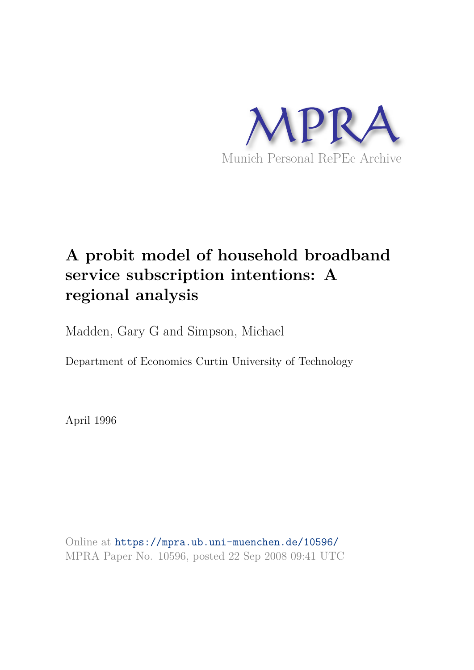

# **A probit model of household broadband service subscription intentions: A regional analysis**

Madden, Gary G and Simpson, Michael

Department of Economics Curtin University of Technology

April 1996

Online at https://mpra.ub.uni-muenchen.de/10596/ MPRA Paper No. 10596, posted 22 Sep 2008 09:41 UTC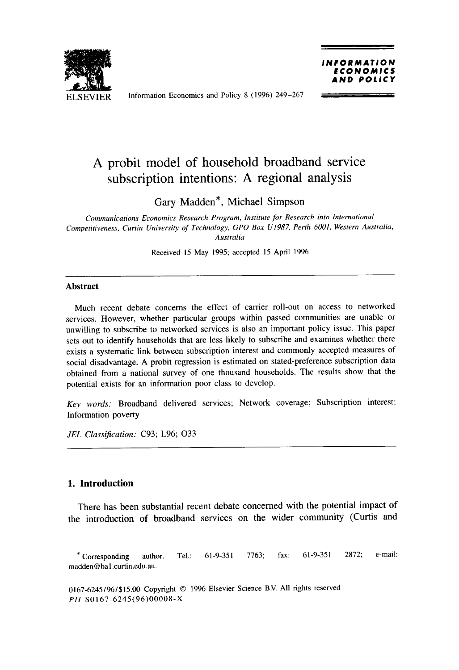

Information Economics and Policy 8 (1996) 249-267

## **A probit model of household broadband service subscription intentions: A regional analysis**

Gary Madden\*, Michael Simpson

*Communications Economics Research Program, Institute for Research into International*  Competitiveness, Curtin University of Technology, GPO Box U1987, Perth 6001, Western Australia. *Australia* 

Received 15 May 1995; accepted 15 April 1996

## **Abstract**

Much recent debate concerns the effect of carrier roll-out on access to networked services. However, whether particular groups within passed communities are unable or unwilling to subscribe to networked services is also an important policy issue. This paper sets out to identify households that are less likely to subscribe and examines whether there exists a systematic link between subscription interest and commonly accepted measures of social disadvantage. A probit regression is estimated on stated-preference subscription data obtained from a national survey of one thousand households. The results show that the potential exists for an information poor class to develop.

*Key words:* Broadband delivered services; Network coverage; Subscription interest; Information poverty

*JEL Classification:* C93; L96; 033

## **1. Introduction**

There has been substantial recent debate concerned with the potential impact of the introduction of broadband services on the wider community (Curtis and

\* Corresponding author. Tel.: 61-9-351 7763; fax: 61-9-351 2872; madden @ ba I .curtin .edu. au. e-mail:

0167-6245/96/\$15.00 Copyright © 1996 Elsevier Science B.V. All rights reserved *Pll* S0167-6245(96)00008-X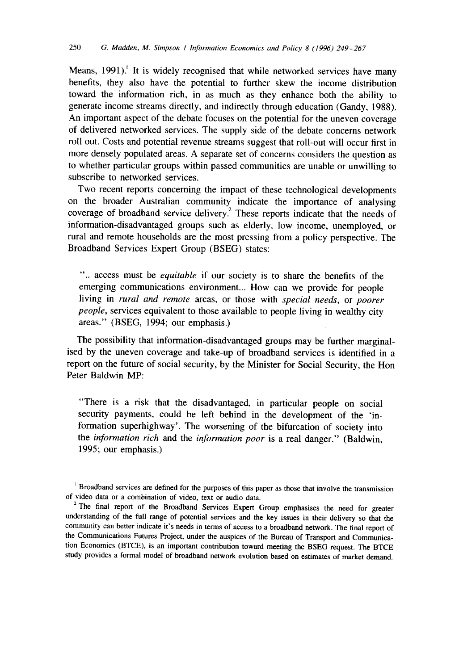Means,  $1991$ <sup>!</sup> It is widely recognised that while networked services have many benefits, they also have the potential to further skew the income distribution toward the information rich, in as much as they enhance both the ability to generate income streams directly, and indirectly through education (Gandy, 1988). An important aspect of the debate focuses on the potential for the uneven coverage of delivered networked services. The supply side of the debate concerns network roll out. Costs and potential revenue streams suggest that roll-out will occur first in more densely populated areas. A separate set of concerns considers the question as to whether particular groups within passed communities are unable or unwilling to subscribe to networked services.

Two recent reports concerning the impact of these technological developments on the broader Australian community indicate the importance of analysing coverage of broadband service delivery.<sup>2</sup> These reports indicate that the needs of information-disadvantaged groups such as elderly, low income, unemployed, or rural and remote households are the most pressing from a policy perspective. The Broadband Services Expert Group (BSEG) states:

".. access must be *equitable* if our society is to share the benefits of the emerging communications environment... How can we provide for people living in *rural and remote* areas, or those with *special needs,* or *poorer people,* services equivalent to those available to people living in wealthy city areas." (BSEG, 1994; our emphasis.)

The possibility that information-disadvantaged groups may be further marginalised by the uneven coverage and take-up of broadband services is identified in a report on the future of social security, by the Minister for Social Security, the Hon Peter Baldwin MP:

"There is a risk that the disadvantaged, in particular people on social security payments, could be left behind in the development of the 'information superhighway'. The worsening of the bifurcation of society into the *information rich* and the *information poor* is a real danger." (Baldwin, 1995; our emphasis.)

 $B$  Broadband services are defined for the purposes of this paper as those that involve the transmission of video data or a combination of video, text or audio data.

 $2$  The final report of the Broadband Services Expert Group emphasises the need for greater understanding of the full range of potential services and the key issues in their delivery so that the community can better indicate it's needs in terms of access to a broadband network. The final report of the Communications Futures Project, under the auspices of the Bureau of Transport and Communication Economics (BTCE), is an important contribution toward meeting the BSEG request. The BTCE study provides a formal model of broadband network evolution based on estimates of market demand.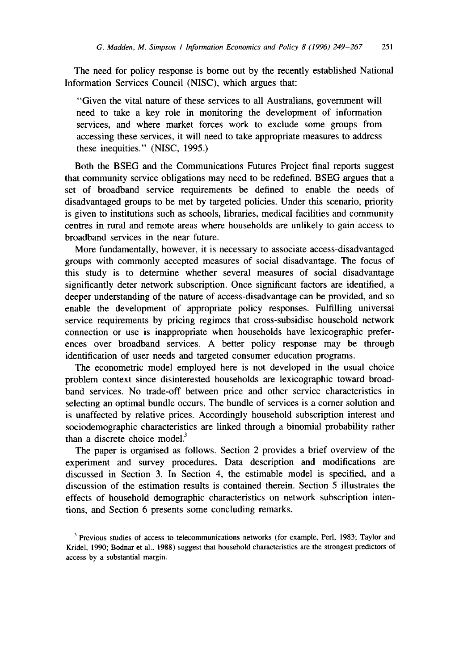The need for policy response is borne out by the recently established National Information Services Council (NISC), which argues that:

"Given the vital nature of these services to all Australians, government will need to take a key role in monitoring the development of information services, and where market forces work to exclude some groups from accessing these services, it will need to take appropriate measures to address these inequities." (NISC, 1995.)

Both the BSEG and the Communications Futures Project final reports suggest that community service obligations may need to be redefined. BSEG argues that a set of broadband service requirements be defined to enable the needs of disadvantaged groups to be met by targeted policies. Under this scenario, priority is given to institutions such as schools, libraries, medical facilities and community centres in rural and remote areas where households are unlikely to gain access to broadband services in the near future.

More fundamentally, however, it is necessary to associate access-disadvantaged groups with commonly accepted measures of social disadvantage. The focus of this study is to determine whether several measures of social disadvantage significantly deter network subscription. Once significant factors are identified, a deeper understanding of the nature of access-disadvantage can be provided, and so enable the development of appropriate policy responses. Fulfilling universal service requirements by pricing regimes that cross-subsidise household network connection or use is inappropriate when households have lexicographic preferences over broadband services. A better policy response may be through identification of user needs and targeted consumer education programs.

The econometric model employed here is not developed in the usual choice problem context since disinterested households are lexicographic toward broadband services. No trade-off between price and other service characteristics in selecting an optimal bundle occurs. The bundle of services is a corner solution and is unaffected by relative prices. Accordingly household subscription interest and sociodemographic characteristics are linked through a binomial probability rather than a discrete choice model. $3$ 

The paper is organised as follows. Section 2 provides a brief overview of the experiment and survey procedures. Data description and modifications are discussed in Section 3. In Section 4, the estimable model is specified, and a discussion of the estimation results is contained therein. Section 5 illustrates the effects of household demographic characteristics on network subscription intentions, and Section 6 presents some concluding remarks.

<sup>3</sup> Previous studies of access to telecommunications networks (for example, Perl, 1983; Taylor and Kridel, 1990; Bodnar et al., 1988) suggest that household characteristics are the strongest predictors of access by a substantial margin.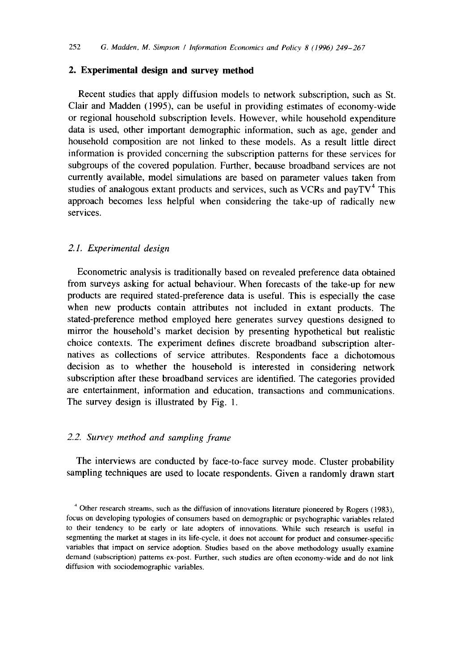## **2. Experimental design and survey method**

Recent studies that apply diffusion models to network subscription, such as St. Clair and Madden (1995), can be useful in providing estimates of economy-wide or regional household subscription levels. However, while household expenditure data is used, other important demographic information, such as age, gender and household composition are not linked to these models. As a result little direct information is provided concerning the subscription patterns for these services for subgroups of the covered population. Further, because broadband services are not currently available, model simulations are based on parameter values taken from studies of analogous extant products and services, such as VCRs and payTV<sup>4</sup> This approach becomes less helpful when considering the take-up of radically new services.

## *2.1. Experimental design*

Econometric analysis is traditionally based on revealed preference data obtained from surveys asking for actual behaviour. When forecasts of the take-up for new products are required stated-preference data is useful. This is especially the case when new products contain attributes not included in extant products. The stated-preference method employed here generates survey questions designed to mirror the household's market decision by presenting hypothetical but realistic choice contexts. The experiment defines discrete broadband subscription alternatives as collections of service attributes. Respondents face a dichotomous decision as to whether the household is interested in considering network subscription after these broadband services are identified. The categories provided are entertainment, information and education, transactions and communications. The survey design is illustrated by Fig. 1.

## *2.2. Survey method and sampling frame*

The interviews are conducted by face-to-face survey mode. Cluster probability sampling techniques are used to locate respondents. Given a randomly drawn start

<sup>4</sup> Other research streams, such as the diffusion of innovations literature pioneered by Rogers (1983), focus on developing typologies of consumers based on demographic or psychographic variables related to their tendency to be early or late adopters of innovations. While such research is useful in segmenting the market at stages in its life-cycle, it does not account for product and consumer-specific variables that impact on service adoption. Studies based on the above methodology usually examine demand (subscription) patterns ex-post. Further, such studies are often economy-wide and do not link diffusion with sociodemographic variables.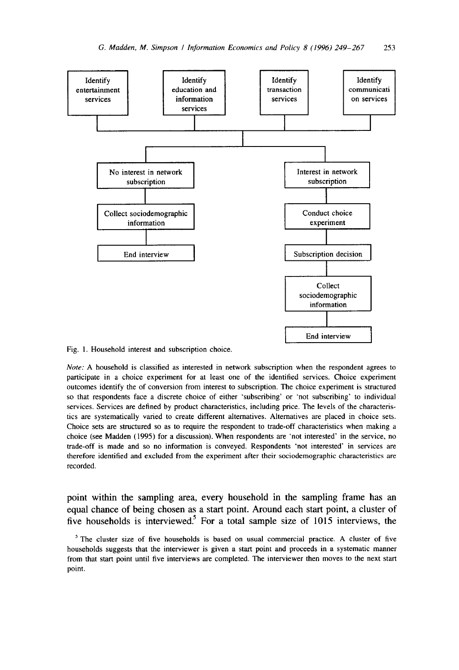

Fig. 1. Household interest and subscription choice.

*Note:* A household is classified as interested in network subscription when the respondent agrees to participate in a choice experiment for at least one of the identified services. Choice experiment outcomes identify the of conversion from interest to subscription. The choice experiment is structured so that respondents face a discrete choice of either 'subscribing' or 'not subscribing' to individual services. Services are defined by product characteristics, including price. The levels of the characteristics are systematically varied to create different alternatives. Alternatives are placed in choice sets. Choice sets are structured so as to require the respondent to trade-off characteristics when making a choice (see Madden (1995) for a discussion). When respondents are "not interested' in the service, no trade-off is made and so no information is conveyed. Respondents 'not interested' in services are therefore identified and excluded from the experiment after their sociodemographic characteristics are recorded.

point within the sampling area, every household in the sampling frame has an equal chance of being chosen as a start point. Around each start point, a cluster of five households is interviewed.<sup>5</sup> For a total sample size of  $1015$  interviews, the

<sup>&</sup>lt;sup>5</sup> The cluster size of five households is based on usual commercial practice. A cluster of five households suggests that the interviewer is given a start point and proceeds in a systematic manner from that start point until five interviews are completed. The interviewer then moves to the next start point.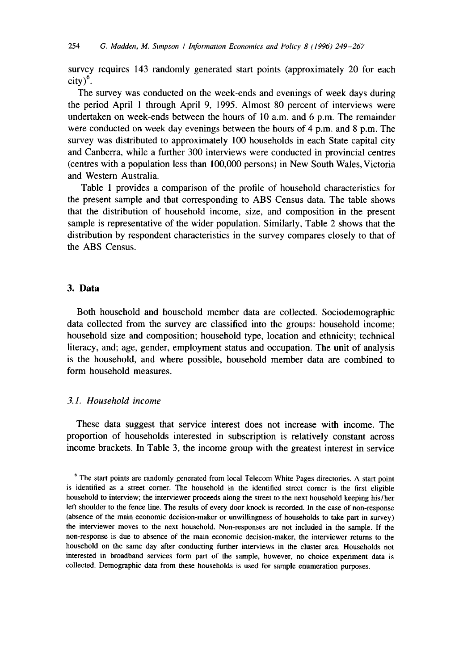survey requires 143 randomly generated start points (approximately 20 for each  $\text{city}$ <sup>6</sup>.

The survey was conducted on the week-ends and evenings of week days during the period April 1 through April 9, 1995. Almost 80 percent of interviews were undertaken on week-ends between the hours of 10 a.m. and 6 p.m. The remainder were conducted on week day evenings between the hours of 4 p.m. and 8 p.m. The survey was distributed to approximately 100 households in each State capital city and Canberra, while a further 300 interviews were conducted in provincial centres (centres with a population less than 100,000 persons) in New South Wales, Victoria and Western Australia.

Table 1 provides a comparison of the profile of household characteristics for the present sample and that corresponding to ABS Census data. The table shows that the distribution of household income, size, and composition in the present sample is representative of the wider population. Similarly, Table 2 shows that the distribution by respondent characteristics in the survey compares closely to that of the ABS Census.

## **3. Data**

Both household and household member data are collected. Sociodemographic data collected from the survey are classified into the groups: household income; household size and composition; household type, location and ethnicity; technical literacy, and; age, gender, employment status and occupation. The unit of analysis is the household, and where possible, household member data are combined to form household measures.

### *3.1. Household income*

These data suggest that service interest does not increase with income. The proportion of households interested in subscription is relatively constant across income brackets. In Table 3, the income group with the greatest interest in service

<sup>&</sup>lt;sup>6</sup> The start points are randomly generated from local Telecom White Pages directories. A start point is identified as a street corner. The household in the identified street corner is the first eligible household to interview; the interviewer proceeds along the street to the next household keeping his/her left shoulder to the fence line. The results of every door knock is recorded. In the case of non-response (absence of the main economic decision-maker or unwillingness of households to take part in survey) the interviewer moves to the next household. Non-responses are not included in the sample. If the non-response is due to absence of the main economic decision-maker, the interviewer returns to the household on the same day after conducting further interviews in the cluster area. Households not interested in broadband services form part of the sample, however, no choice experiment data is collected. Demographic data from these households is used for sample enumeration purposes.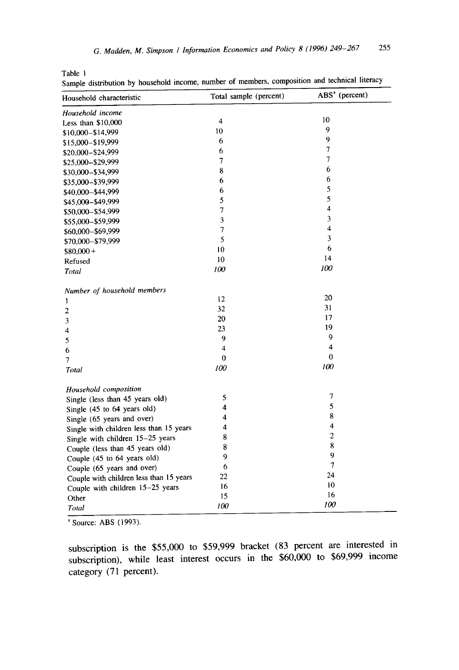Table 1

Sample distribution by household income, number of members, composition and technical literacy

| Household characteristic                | Total sample (percent)  | ABS <sup>ª</sup> (percent) |
|-----------------------------------------|-------------------------|----------------------------|
| Household income                        |                         |                            |
| Less than \$10,000                      | 4                       | 10                         |
| \$10,000-\$14,999                       | 10                      | 9                          |
| \$15,000-\$19,999                       | 6                       | 9                          |
| \$20,000-\$24,999                       | 6                       | 7                          |
| \$25,000-\$29,999                       | 7                       | $\overline{7}$             |
| \$30,000-\$34,999                       | 8                       | 6                          |
| \$35,000-\$39,999                       | 6                       | 6                          |
| \$40,000-\$44,999                       | 6                       | 5                          |
| \$45,000-\$49,999                       | 5                       | 5                          |
| \$50,000-\$54,999                       | 7                       | $\overline{\mathbf{4}}$    |
| \$55,000-\$59,999                       | 3                       | 3                          |
| \$60,000-\$69,999                       | $\overline{7}$          | $\overline{\mathbf{4}}$    |
| \$70,000-\$79,999                       | 5                       | 3                          |
| $$80,000+$                              | 10                      | 6                          |
| Refused                                 | 10                      | 14                         |
| Total                                   | 100                     | 100                        |
| Number of household members             |                         |                            |
| 1                                       | 12                      | 20                         |
| 2                                       | 32                      | 31                         |
| 3                                       | 20                      | 17                         |
| 4                                       | 23                      | 19                         |
| 5                                       | 9                       | 9                          |
| 6                                       | $\overline{\mathbf{4}}$ | 4                          |
| 7                                       | 0                       | $\bf{0}$                   |
| Total                                   | 100                     | 100                        |
| Household composition                   |                         |                            |
| Single (less than 45 years old)         | 5                       | 7                          |
| Single (45 to 64 years old)             | 4                       | 5                          |
| Single (65 years and over)              | 4                       | 8                          |
| Single with children less than 15 years | 4                       | 4                          |
| Single with children $15-25$ years      | 8                       | $\overline{\mathbf{c}}$    |
| Couple (less than 45 years old)         | 8                       | 8                          |
| Couple (45 to 64 years old)             | 9                       | 9                          |
| Couple (65 years and over)              | 6                       | $\overline{\overline{1}}$  |
| Couple with children less than 15 years | 22                      | 24                         |
| Couple with children 15-25 years        | 16                      | 10                         |
| Other                                   | 15                      | 16                         |
| Total                                   | 100                     | 100                        |

 $\overline{\text{Source: ABS (1993)}}$ .

subscription is the \$55,000 to \$59,999 bracket (83 percent are interested in subscription), while least interest occurs in the \$60,000 to \$69,999 income category (71 percent).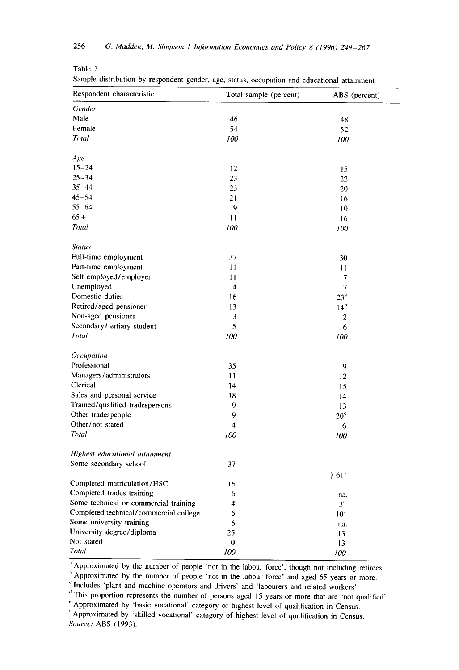| Respondent characteristic              | Total sample (percent)  | ABS (percent)   |  |
|----------------------------------------|-------------------------|-----------------|--|
| Gender                                 |                         |                 |  |
| Male                                   | 46                      | 48              |  |
| Female                                 | 54                      | 52              |  |
| Total                                  | 100                     | 100             |  |
| Age                                    |                         |                 |  |
| $15 - 24$                              | 12                      | 15              |  |
| $25 - 34$                              | 23                      | 22              |  |
| $35 - 44$                              | 23                      | 20              |  |
| $45 - 54$                              | 21                      | 16              |  |
| $55 - 64$                              | 9                       | 10              |  |
| $65+$                                  | $\mathbf{1}$            | 16              |  |
| Total                                  | 100                     | 100             |  |
| <b>Status</b>                          |                         |                 |  |
| Full-time employment                   | 37                      | 30              |  |
| Part-time employment                   | 11                      | $\mathbf{H}$    |  |
| Self-employed/employer                 | 11                      | $\overline{7}$  |  |
| Unemployed                             | $\overline{4}$          | 7               |  |
| Domestic duties                        | 16                      | 23 <sup>a</sup> |  |
| Retired/aged pensioner                 | 13                      | 14 <sup>b</sup> |  |
| Non-aged pensioner                     | 3                       | $\overline{c}$  |  |
| Secondary/tertiary student             | 5                       | 6               |  |
| Total                                  | 100                     | 100             |  |
| <i>Occupation</i>                      |                         |                 |  |
| Professional                           | 35                      | 19              |  |
| Managers/administrators                | 11                      | $12 \,$         |  |
| Clerical                               | 14                      | 15              |  |
| Sales and personal service             | 18                      | 14              |  |
| Trained/qualified tradespersons        | 9                       | 13              |  |
| Other tradespeople                     | 9                       | $20^{\circ}$    |  |
| Other/not stated                       | $\overline{\mathbf{4}}$ | 6               |  |
| Total                                  | 100                     | 100             |  |
| Highest educational attainment         |                         |                 |  |
| Some secondary school                  | 37                      |                 |  |
|                                        |                         | $\big\} 61^d$   |  |
| Completed matriculation/HSC            | 16                      |                 |  |
| Completed trades training              | 6                       | na.             |  |
| Some technical or commercial training  | $\overline{\bf 4}$      | 3 <sup>e</sup>  |  |
| Completed technical/commercial college | 6                       | 10 <sup>r</sup> |  |
| Some university training               | 6                       | na.             |  |
| University degree/diploma              | 25                      | 13              |  |
| Not stated                             | $\bf{0}$                | 13              |  |

Table 2

Sample distribution by respondent gender, age, status, occupation and educational attainment

<sup>a</sup> Approximated by the number of people 'not in the labour force', though not including retirees.

h Approximated by the number of people 'not in the labour force' and aged 65 years or more.

Includes 'plant and machine operators and drivers' and 'labourers and related workers'.

*Total 100 100* 

<sup>d</sup> This proportion represents the number of persons aged 15 years or more that are 'not qualified'.

Approximated by 'basic vocational' category of highest level of qualification in Census.

' Approximated by 'skilled vocational' category of highest level of qualification in Census. *Source:* ABS (1993).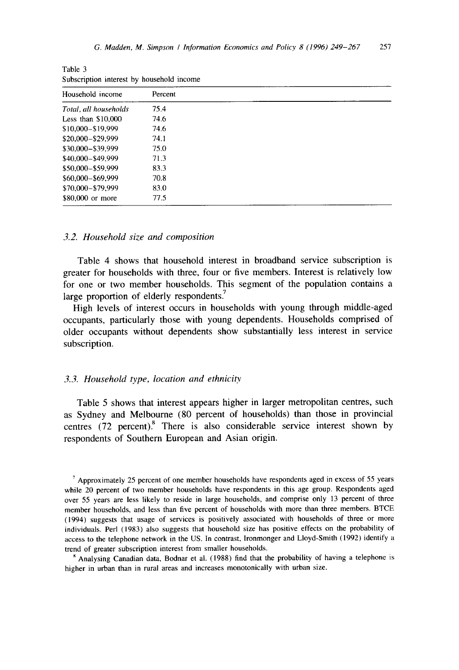| $3003$ CHPHOR INCREST $0$ $\gamma$ HOUSCHORD INCOME |         |  |  |
|-----------------------------------------------------|---------|--|--|
| Household income                                    | Percent |  |  |
| Total, all households                               | 75.4    |  |  |
| Less than $$10,000$                                 | 74.6    |  |  |
| \$10,000-\$19,999                                   | 746     |  |  |
| \$20,000-\$29,999                                   | 74.1    |  |  |
| \$30,000-\$39,999                                   | 75.0    |  |  |
| \$40,000-\$49,999                                   | 71.3    |  |  |
| \$50,000-\$59,999                                   | 83.3    |  |  |
| \$60,000-\$69,999                                   | 70.8    |  |  |
| \$70,000-\$79,999                                   | 83.0    |  |  |
| \$80,000 or more                                    | 77.5    |  |  |

Table 3 Subscription interest by household income

## *3.2. Household size and composition*

Table 4 shows that household interest in broadband service subscription is greater for households with three, four or five members. Interest is relatively low for one or two member households. This segment of the population contains a large proportion of elderly respondents.<sup>7</sup>

High levels of interest occurs in households with young through middle-aged occupants, particularly those with young dependents. Households comprised of older occupants without dependents show substantially less interest in service subscription.

## *3.3. Household type, location and ethnicity*

Table 5 shows that interest appears higher in larger metropolitan centres, such as Sydney and Melbourne (80 percent of households) than those in provincial centres  $(72 \text{ percent})^8$ . There is also considerable service interest shown by respondents of Southern European and Asian origin.

7 Approximately 25 percent of one member households have respondents aged in excess of 55 years while 20 percent of two member households have respondents in this age group. Respondents aged over 55 years are less likely to reside in large households, and comprise only 13 percent of three member households, and less than five percent of households with more than three members. BTCE (1994) suggests that usage of services is positively associated with households of three or more individuals. Perl (1983) also suggests that household size has positive effects on the probability of access to the telephone network in the US. In contrast, Ironmonger and Lloyd-Smith (1992) identify a trend of greater subscription interest from smaller households.

Analysing Canadian data, Bodnar et al. (1988) find that the probability of having a telephone is higher in urban than in rural areas and increases monotonically with urban size.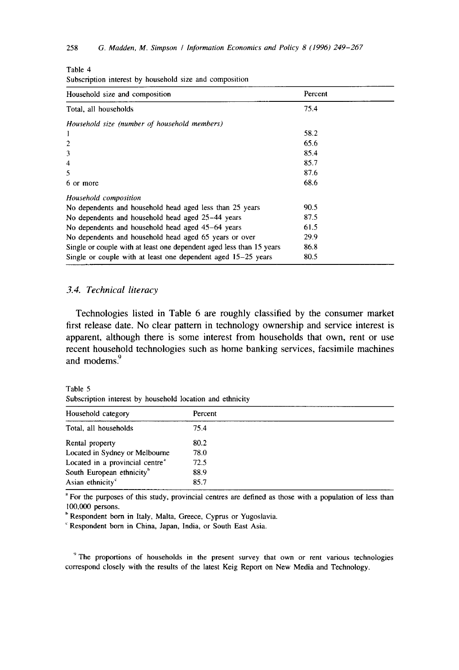| Quoscription micrest by household size and composition               |         |  |  |
|----------------------------------------------------------------------|---------|--|--|
| Household size and composition                                       | Percent |  |  |
| Total, all households                                                | 75.4    |  |  |
| Household size (number of household members)                         |         |  |  |
| 1                                                                    | 58.2    |  |  |
| $\overline{2}$                                                       | 65.6    |  |  |
| 3                                                                    | 85.4    |  |  |
| 4                                                                    | 85.7    |  |  |
| 5                                                                    | 87.6    |  |  |
| 6 or more                                                            | 68.6    |  |  |
| Household composition                                                |         |  |  |
| No dependents and household head aged less than 25 years             | 90.5    |  |  |
| No dependents and household head aged 25–44 years                    | 87.5    |  |  |
| No dependents and household head aged 45–64 years                    | 61.5    |  |  |
| No dependents and household head aged 65 years or over               | 29.9    |  |  |
| Single or couple with at least one dependent aged less than 15 years | 86.8    |  |  |
| Single or couple with at least one dependent aged $15-25$ years      | 80.5    |  |  |

Table 4 Subscription interest by household size and composition

## *3.4. Technical literacy*

Technologies listed in Table 6 are roughly classified by the consumer market first release date. No clear pattern in technology ownership and service interest is apparent, although there is some interest from households that own, rent or use recent household technologies such as home banking services, facsimile machines and modems.<sup>9</sup>

Table 5

Subscription interest by household location and ethnicity

| Household category                          | Percent |  |
|---------------------------------------------|---------|--|
| Total, all households                       | 75.4    |  |
| Rental property                             | 80.2    |  |
| Located in Sydney or Melbourne              | 78.0    |  |
| Located in a provincial centre <sup>a</sup> | 72.5    |  |
| South European ethnicity <sup>b</sup>       | 88.9    |  |
| Asian ethnicity <sup>c</sup>                | 85.7    |  |

<sup>a</sup> For the purposes of this study, provincial centres are defined as those with a population of less than 100,000 persons.

<sup>h</sup> Respondent born in Italy, Malta, Greece, Cyprus or Yugoslavia.

Respondent born in China, Japan, India, or South East Asia.

<sup>9</sup> The proportions of households in the present survey that own or rent various technologies correspond closely with the results of the latest Keig Report on New Media and Technology.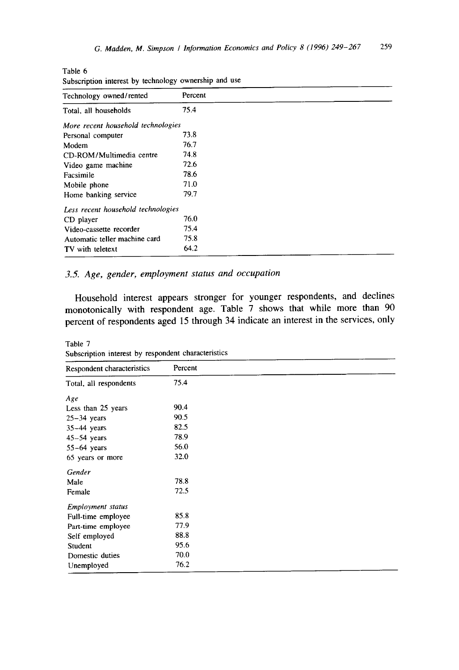| $\alpha$                           |         |  |  |
|------------------------------------|---------|--|--|
| Technology owned/rented            | Percent |  |  |
| Total, all households              | 75.4    |  |  |
| More recent household technologies |         |  |  |
| Personal computer                  | 73.8    |  |  |
| Modem                              | 76.7    |  |  |
| CD-ROM/Multimedia centre           | 74.8    |  |  |
| Video game machine                 | 72.6    |  |  |
| Facsimile                          | 78.6    |  |  |
| Mobile phone                       | 71.0    |  |  |
| Home banking service               | 79.7    |  |  |
| Less recent household technologies |         |  |  |
| CD player                          | 76.0    |  |  |
| Video-cassette recorder            | 75.4    |  |  |
| Automatic teller machine card      | 75.8    |  |  |
| TV with teletext                   | 64.2    |  |  |

Table 6 Subscription interest by technology ownership and use

## *3.5. Age, gender, employment status and occupation*

Household interest appears stronger for younger respondents, and declines monotonically with respondent age. Table 7 shows that while more than 90 percent of respondents aged 15 through 34 indicate an interest in the services, only

| Respondent characteristics | Percent |  |
|----------------------------|---------|--|
| Total, all respondents     | 75.4    |  |
| Age                        |         |  |
| Less than 25 years         | 90.4    |  |
| $25-34$ years              | 90.5    |  |
| $35-44$ years              | 82.5    |  |
| $45-54$ years              | 78.9    |  |
| $55-64$ years              | 56.0    |  |
| 65 years or more           | 32.0    |  |
| Gender                     |         |  |
| Male                       | 78.8    |  |
| Female                     | 72.5    |  |
| Employment status          |         |  |
| Full-time employee         | 85.8    |  |
| Part-time employee         | 77.9    |  |
| Self employed              | 88.8    |  |
| Student                    | 95.6    |  |
| Domestic duties            | 70.0    |  |
| Unemployed                 | 76.2    |  |

Table 7 Subscription interest by respondent characteristics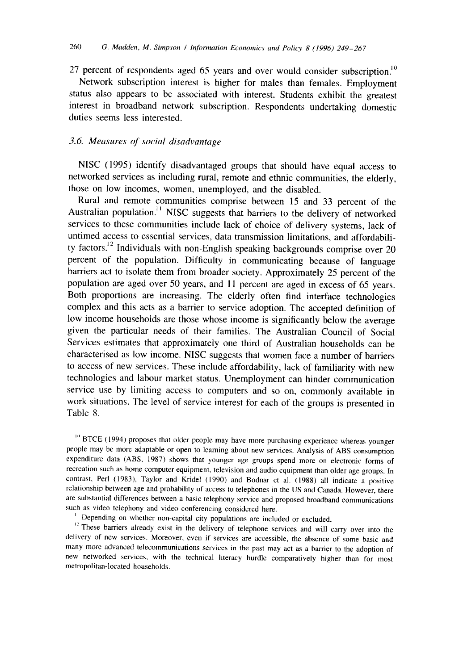27 percent of respondents aged 65 years and over would consider subscription.<sup>10</sup>

Network subscription interest is higher for males than females. Employment status also appears to be associated with interest. Students exhibit the greatest interest in broadband network subscription. Respondents undertaking domestic duties seems less interested.

## *3.6. Measures of social disadvantage*

NISC (1995) identify disadvantaged groups that should have equal access to networked services as including rural, remote and ethnic communities, the elderly, those on low incomes, women, unemployed, and the disabled.

Rural and remote communities comprise between 15 and 33 percent of the Australian population.<sup> $11$ </sup> NISC suggests that barriers to the delivery of networked services to these communities include lack of choice of delivery systems, lack of untimed access to essential services, data transmission limitations, and affordability factors.<sup>12</sup> Individuals with non-English speaking backgrounds comprise over 20 percent of the population. Difficulty in communicating because of language barriers act to isolate them from broader society. Approximately 25 percent of the population are aged over 50 years, and 11 percent are aged in excess of 65 years. Both proportions are increasing. The elderly often find interface technologies complex and this acts as a barrier to service adoption. The accepted definition of low income households are those whose income is significantly below the average given the particular needs of their families. The Australian Council of Social Services estimates that approximately one third of Australian households can be characterised as low income. NISC suggests that women face a number of barriers to access of new services. These include affordability, lack of familiarity with new technologies and labour market status. Unemployment can hinder communication service use by limiting access to computers and so on, commonly available in work situations. The level of service interest for each of the groups is presented in Table 8.

<sup>10</sup> BTCE (1994) proposes that older people may have more purchasing experience whereas younger people may be more adaptable or open to learning about new services. Analysis of ABS consumption expenditure data (ABS, 1987) shows that younger age groups spend more on electronic forms of recreation such as home computer equipment, television and audio equipment than older age groups. In contrast, Perl (1983), Taylor and Kridel (1990) and Bodnar et al. (1988) all indicate a positive relationship between age and probability of access to telephones in the US and Canada. However, there are substantial differences between a basic telephony service and proposed broadband communications such as video telephony and video conferencing considered here.

<sup>11</sup> Depending on whether non-capital city populations are included or excluded.

<sup>12</sup> These barriers already exist in the delivery of telephone services and will carry over into the delivery of new services. Moreover, even if services are accessible, the absence of some basic and many more advanced telecommunications services in the past may act as a barrier to the adoption of new networked services, with the technical literacy hurdle comparatively higher than for most metropolitan-located households.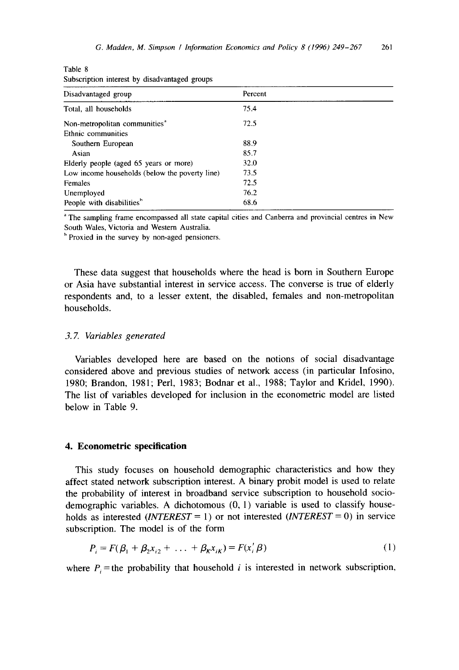| Percent |  |  |  |
|---------|--|--|--|
| 75.4    |  |  |  |
| 72.5    |  |  |  |
|         |  |  |  |
| 88.9    |  |  |  |
| 85.7    |  |  |  |
| 32.0    |  |  |  |
| 73.5    |  |  |  |
| 72.5    |  |  |  |
| 76.2    |  |  |  |
| 68.6    |  |  |  |
|         |  |  |  |

| Table 8 |  |                                               |  |
|---------|--|-----------------------------------------------|--|
|         |  | Subscription interest by disadvantaged groups |  |

" The sampling frame encompassed all state capital cities and Canberra and provincial centres in New South Wales, Victoria and Western Australia.

<sup>h</sup> Proxied in the survey by non-aged pensioners.

These data suggest that households where the head is born in Southern Europe or Asia have substantial interest in service access. The converse is true of elderly respondents and, to a lesser extent, the disabled, females and non-metropolitan households.

## *3. 7. Variables generated*

Variables developed here are based on the notions of social disadvantage considered above and previous studies of network access (in particular Infosino, 1980; Brandon, 1981; Perl, 1983; Bodnar et al., 1988; Taylor and Kridel, 1990). The list of variables developed for inclusion in the econometric model are listed below in Table 9.

## **4. Econometric specification**

This study focuses on household demographic characteristics and how they affect stated network subscription interest. A binary probit model is used to relate the probability of interest in broadband service subscription to household sociodemographic variables. A dichotomous  $(0, 1)$  variable is used to classify households as interested *(INTEREST = 1)* or not interested *(INTEREST = 0)* in service subscription. The model is of the form

$$
P_i = F(\beta_1 + \beta_2 x_{i2} + \dots + \beta_k x_{ik}) = F(x_i' \beta)
$$
 (1)

where  $P_i$  = the probability that household *i* is interested in network subscription,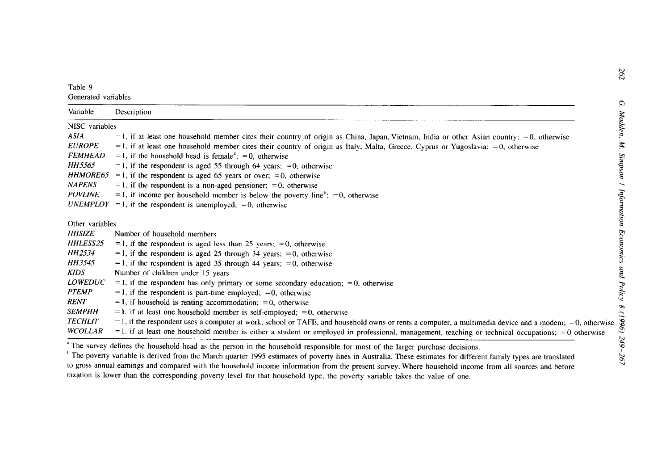| Table 9             |  |
|---------------------|--|
| Generated variables |  |

| Variable               | Description                                                                                                                                                 |
|------------------------|-------------------------------------------------------------------------------------------------------------------------------------------------------------|
| NISC variables         |                                                                                                                                                             |
| ASIA                   | $=$ 1, if at least one household member cites their country of origin as China, Japan, Vietnam, India or other Asian country; $=$ 0, otherwise              |
| <b>EUROPE</b>          | $=$ 1, if at least one household member cites their country of origin as Italy, Malta, Greece, Cyprus or Yugoslavia; $=$ 0, otherwise                       |
| <b>FEMHEAD</b>         | $= 1$ , if the household head is female <sup>3</sup> ; $= 0$ , otherwise                                                                                    |
| <i>HH5565</i>          | $=$ 1, if the respondent is aged 55 through 64 years; $=$ 0, otherwise                                                                                      |
| <b>HHMORE65</b>        | $= 1$ , if the respondent is aged 65 years or over; $= 0$ , otherwise                                                                                       |
| <b>NAPENS</b>          | $= 1$ , if the respondent is a non-aged pensioner; $= 0$ , otherwise                                                                                        |
| <b>POVLINE</b>         | $=$ 1, if income per household member is below the poverty line <sup>b</sup> ; $=$ 0, otherwise                                                             |
| <i><b>UNEMPLOY</b></i> | $= 1$ , if the respondent is unemployed; $= 0$ , otherwise                                                                                                  |
| Other variables        |                                                                                                                                                             |
| <b>HHSIZE</b>          | Number of household members                                                                                                                                 |
| HHLESS <sub>25</sub>   | $= 1$ , if the respondent is aged less than 25 years; $= 0$ , otherwise                                                                                     |
| HH 2534                | $= 1$ , if the respondent is aged 25 through 34 years; $= 0$ , otherwise                                                                                    |
| <b>HH3545</b>          | $=$ 1, if the respondent is aged 35 through 44 years; $=$ 0, otherwise                                                                                      |
| KIDS                   | Number of children under 15 years                                                                                                                           |
| <b>LOWEDUC</b>         | $=$ 1, if the respondent has only primary or some secondary education; $=$ 0, otherwise                                                                     |
| <b>PTEMP</b>           | $= 1$ , if the respondent is part-time employed; $= 0$ , otherwise                                                                                          |
| <b>RENT</b>            | $= 1$ , if household is renting accommodation; $= 0$ , otherwise                                                                                            |
| <b>SEMPHH</b>          | $=$ 1, if at least one household member is self-employed; $=$ 0, otherwise                                                                                  |
| <b>TECHLIT</b>         | $=$ 1, if the respondent uses a computer at work, school or TAFE, and household owns or rents a computer, a multimedia device and a modem; $=$ 0, otherwise |
| <b>WCOLLAR</b>         | $=$ 1, if at least one household member is either a student or employed in professional, management, teaching or technical occupations; $=$ 0 otherwise     |

The survey defines the household head as the person in the household responsible for most of the larger purchase decisions.

 h The poverty variable is derived from the March quarter 1995 estimates of poverty lines in Australia. These estimates for different family types are translated to gross annual earnings and compared with the household income information from the present survey. Where household income from all sources and before taxation is lower than the corresponding poverty level for that household type, the poverty variable takes the value of one.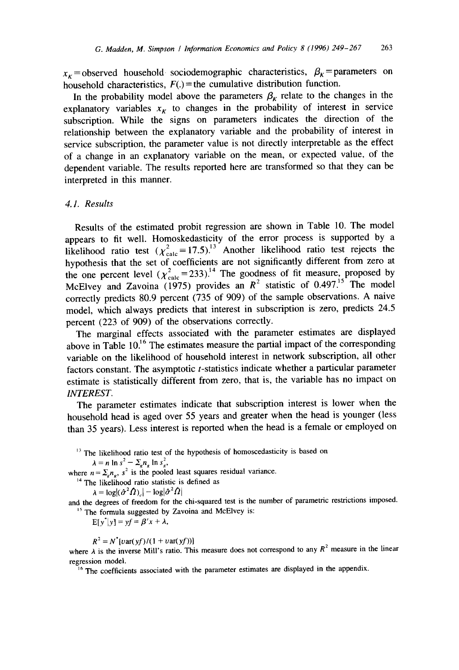$x_k$  = observed household sociodemographic characteristics,  $\beta_k$  = parameters on household characteristics,  $F(.)$  = the cumulative distribution function.

In the probability model above the parameters  $\beta_k$  relate to the changes in the explanatory variables  $x_k$  to changes in the probability of interest in service subscription. While the signs on parameters indicates the direction of the relationship between the explanatory variable and the probability of interest in service subscription, the parameter value is not directly interpretable as the effect of a change in an explanatory variable on the mean, or expected value, of the dependent variable. The results reported here are transformed so that they can be interpreted in this manner.

### *4.1. Results*

Results of the estimated probit regression are shown in Table 10. The model appears to fit well. Homoskedasticity of the error process is supported by a likelihood ratio test  $(\chi^2_{\text{calc}}=17.5)^{13}$  Another likelihood ratio test rejects the hypothesis that the set of coefficients are not significantly different from zero at the one percent level  $(\chi^2_{\text{calc}}=233)$ .<sup>14</sup> The goodness of fit measure, proposed by McElvey and Zavoina (1975) provides an  $R^2$  statistic of 0.497. The model correctly predicts 80.9 percent (735 of 909) of the sample observations. A naive model, which always predicts that interest in subscription is zero, predicts 24.5 percent (223 of 909) of the observations correctly.

The marginal effects associated with the parameter estimates are displayed above in Table 10.16 The estimates measure the partial impact of the corresponding variable on the likelihood of household interest in network subscription, all other factors constant. The asymptotic *t*-statistics indicate whether a particular parameter estimate is statistically different from zero, that is, the variable has no impact on *INTEREST.* 

The parameter estimates indicate that subscription interest is lower when the household head is aged over 55 years and greater when the head is younger (less than 35 years). Less interest is reported when the head is a female or employed on

<sup>13</sup> The likelihood ratio test of the hypothesis of homoscedasticity is based on

$$
\lambda = n \ln s^2 - \sum_{g} n_g \ln s_g^2,
$$

where  $n = \sum_{n} n_{\alpha}$ ,  $s^2$  is the pooled least squares residual variance.

<sup>14</sup> The likelihood ratio statistic is defined as

 $\lambda = \log |(\hat{\sigma}^2 \hat{\Omega})_c| - \log |\hat{\sigma}^2 \hat{\Omega}|$ 

and the degrees of freedom for the chi-squared test is the number of parametric restrictions imposed. <sup>15</sup> The formula suggested by Zavoina and McElvey is:

 $E[y^*|y] = yf = \beta'x + \lambda$ ,

 $R^2 = N^*[var(yf)/(1 + var(yf))]$ 

where  $\lambda$  is the inverse Mill's ratio. This measure does not correspond to any  $R^2$  measure in the linear regression model.

<sup>6</sup> The coefficients associated with the parameter estimates are displayed in the appendix.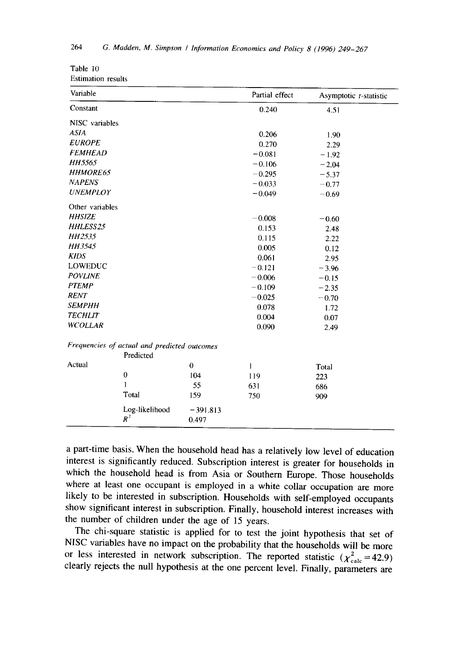| 264 | G. Madden, M. Simpson / Information Economics and Policy 8 (1996) 249-267 |  |  |  |  |  |
|-----|---------------------------------------------------------------------------|--|--|--|--|--|
|-----|---------------------------------------------------------------------------|--|--|--|--|--|

| Table 10                  |  |
|---------------------------|--|
| <b>Estimation</b> results |  |

| Variable        |                                                           |            | Partial effect | Asymptotic t-statistic |
|-----------------|-----------------------------------------------------------|------------|----------------|------------------------|
| Constant        |                                                           |            | 0.240          | 4.51                   |
| NISC variables  |                                                           |            |                |                        |
| <b>ASIA</b>     |                                                           |            | 0.206          | 1.90                   |
| <b>EUROPE</b>   |                                                           |            | 0.270          | 2.29                   |
| <b>FEMHEAD</b>  |                                                           |            | $-0.081$       | $-1.92$                |
| HH5565          |                                                           |            | $-0.106$       | $-2.04$                |
| HHMORE65        |                                                           |            | $-0.295$       | $-5.37$                |
| <b>NAPENS</b>   |                                                           |            | $-0.033$       | $-0.77$                |
| <b>UNEMPLOY</b> |                                                           |            | $-0.049$       | $-0.69$                |
| Other variables |                                                           |            |                |                        |
| <b>HHSIZE</b>   |                                                           |            | $-0.008$       | $-0.60$                |
| HHLESS25        |                                                           |            | 0.153          | 2.48                   |
| HH2535          |                                                           |            | 0.115          | 2.22                   |
| HH3545          |                                                           |            | 0.005          | 0.12                   |
| <b>KIDS</b>     |                                                           |            | 0.061          | 2.95                   |
| <b>LOWEDUC</b>  |                                                           |            | $-0.121$       | $-3.96$                |
| <b>POVLINE</b>  |                                                           |            | $-0.006$       | $-0.15$                |
| <b>PTEMP</b>    |                                                           |            | $-0.109$       | $-2.35$                |
| <b>RENT</b>     |                                                           |            | $-0.025$       | $-0.70$                |
| <b>SEMPHH</b>   |                                                           |            | 0.078          | 1.72                   |
| <b>TECHLIT</b>  |                                                           |            | 0.004          | 0.07                   |
| <b>WCOLLAR</b>  |                                                           |            | 0.090          | 2.49                   |
|                 | Frequencies of actual and predicted outcomes<br>Predicted |            |                |                        |
| Actual          |                                                           | 0          | 1              |                        |
|                 | $\bf{0}$                                                  | 104        | 119            | Total                  |
|                 | 1                                                         | 55         | 631            | 223                    |
|                 | Total                                                     | 159        | 750            | 686<br>909             |
|                 |                                                           |            |                |                        |
|                 | Log-likelihood                                            | $-391.813$ |                |                        |
|                 | $R^2$                                                     | 0.497      |                |                        |

**a part-time basis. When the household head has a relatively low level of education interest is significantly reduced. Subscription interest is greater for households in which the household head is from Asia or Southern Europe. Those households where at least one occupant is employed in a white collar occupation are more likely to be interested in subscription. Households with self-employed occupants show significant interest in subscription. Finally, household interest increases with the number of children under the age of 15 years.** 

**The chi-square statistic is applied for to test the joint hypothesis that set of NISC variables have no impact on the probability that the households will be more**  or less interested in network subscription. The reported statistic  $(\chi^2_{\text{calc}}=42.9)$ **clearly rejects the null hypothesis at the one percent level. Finally, parameters are**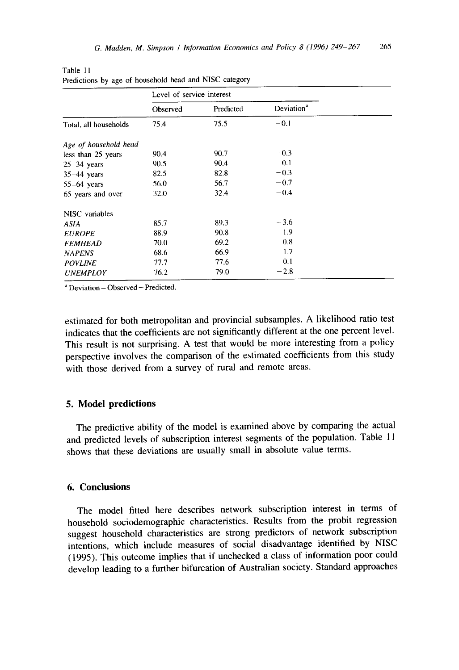|                       | Level of service interest |           |                        |  |
|-----------------------|---------------------------|-----------|------------------------|--|
|                       | Observed                  | Predicted | Deviation <sup>a</sup> |  |
| Total, all households | 75.4                      | 75.5      | $-0.1$                 |  |
| Age of household head |                           |           |                        |  |
| less than 25 years    | 90.4                      | 90.7      | $-0.3$                 |  |
| $25-34$ years         | 90.5                      | 90.4      | 0.1                    |  |
| $35-44$ years         | 82.5                      | 82.8      | $-0.3$                 |  |
| $55-64$ years         | 56.0                      | 56.7      | $-0.7$                 |  |
| 65 years and over     | 32.0                      | 32.4      | $-0.4$                 |  |
| NISC variables        |                           |           |                        |  |
| ASIA                  | 85.7                      | 89.3      | $-3.6$                 |  |
| <b>EUROPE</b>         | 88.9                      | 90.8      | $-1.9$                 |  |
| <b>FEMHEAD</b>        | 70.0                      | 69.2      | 0.8                    |  |
| <b>NAPENS</b>         | 68.6                      | 66.9      | 1.7                    |  |
| <b>POVLINE</b>        | 77.7                      | 77.6      | 0.1                    |  |
| <b>UNEMPLOY</b>       | 76.2                      | 79.0      | $-2.8$                 |  |

**Table** 11 **Predictions by age of household head and NISC category** 

Deviation = Observed - **Predicted.** 

**estimated for both metropolitan and provincial subsamples. A likelihood ratio test indicates that the coefficients are not significantly different at the one percent level. This result is not surprising. A test that would be more interesting from a policy perspective involves the comparison of the estimated coefficients from this study with those derived from a survey of rural and remote areas.** 

## **5. Model predictions**

**The predictive ability of the model is examined above by comparing the actual and predicted levels of subscription interest segments of the population. Table 11 shows that these deviations are usually small in absolute value terms.** 

## **6. Conclusions**

**The model fitted here describes network subscription interest in terms of household sociodemographic characteristics. Results from the probit regression suggest household characteristics are strong predictors of network subscription intentions, which include measures of social disadvantage identified by NISC (1995). This outcome implies that if unchecked a class of information poor could develop leading to a further bifurcation of Australian society. Standard approaches**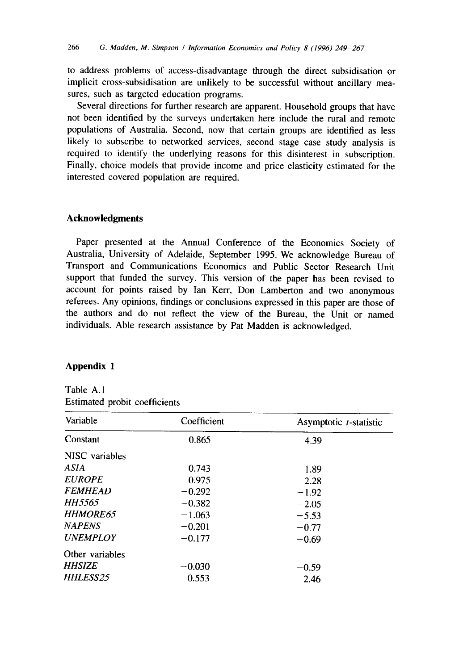to address problems of access-disadvantage through the direct subsidisation or implicit cross-subsidisation are unlikely to be successful without ancillary measures, such as targeted education programs.

Several directions for further research are apparent. Household groups that have not been identified by the surveys undertaken here include the rural and remote populations of Australia. Second, now that certain groups are identified as less likely to subscribe to networked services, second stage case study analysis is required to identify the underlying reasons for this disinterest in subscription. Finally, choice models that provide income and price elasticity estimated for the interested covered population are required.

## **Acknowledgments**

Paper presented at the Annual Conference of the Economics Society of Australia, University of Adelaide, September 1995. We acknowledge Bureau of Transport and Communications Economics and Public Sector Research Unit support that funded the survey. This version of the paper has been revised to account for points raised by Ian Kerr, Don Lamberton and two anonymous referees. Any opinions, findings or conclusions expressed in this paper are those of the authors and do not reflect the view of the Bureau, the Unit or named individuals. Able research assistance by Pat Madden is acknowledged.

## **Appendix 1**

| Variable        | Coefficient | Asymptotic t-statistic<br>4.39 |  |
|-----------------|-------------|--------------------------------|--|
| Constant        | 0.865       |                                |  |
| NISC variables  |             |                                |  |
| <b>ASIA</b>     | 0.743       | 1.89                           |  |
| <b>EUROPE</b>   | 0.975       | 2.28                           |  |
| <b>FEMHEAD</b>  | $-0.292$    | $-1.92$                        |  |
| <i>HH5565</i>   | $-0.382$    | $-2.05$                        |  |
| <b>HHMORE65</b> | $-1.063$    | $-5.53$                        |  |
| <b>NAPENS</b>   | $-0.201$    | $-0.77$                        |  |
| <b>UNEMPLOY</b> | $-0.177$    | $-0.69$                        |  |
| Other variables |             |                                |  |
| <b>HHSIZE</b>   | $-0.030$    | $-0.59$                        |  |
| HHLESS25        | 0.553       | 2.46                           |  |

Table A.1 Estimated probit coefficients